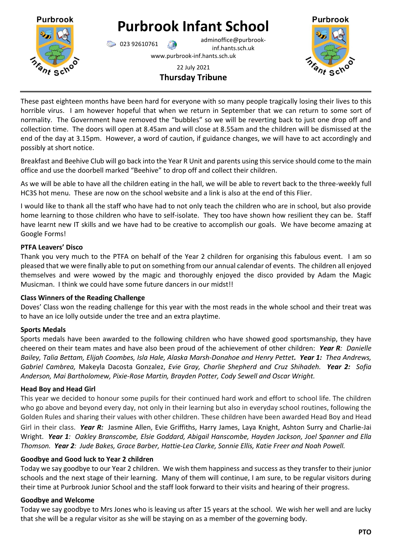

# **Purbrook Infant School**

023 92610761 adminoffice@purbrookinf.hants.sch.uk www.purbrook-inf.hants.sch.uk



22 July 2021 **Thursday Tribune**

These past eighteen months have been hard for everyone with so many people tragically losing their lives to this horrible virus. I am however hopeful that when we return in September that we can return to some sort of normality. The Government have removed the "bubbles" so we will be reverting back to just one drop off and collection time. The doors will open at 8.45am and will close at 8.55am and the children will be dismissed at the end of the day at 3.15pm. However, a word of caution, if guidance changes, we will have to act accordingly and possibly at short notice.

Breakfast and Beehive Club will go back into the Year R Unit and parents using this service should come to the main office and use the doorbell marked "Beehive" to drop off and collect their children.

As we will be able to have all the children eating in the hall, we will be able to revert back to the three-weekly full HC3S hot menu. These are now on the school website and a link is also at the end of this Flier.

I would like to thank all the staff who have had to not only teach the children who are in school, but also provide home learning to those children who have to self-isolate. They too have shown how resilient they can be. Staff have learnt new IT skills and we have had to be creative to accomplish our goals. We have become amazing at Google Forms!

# **PTFA Leavers' Disco**

Thank you very much to the PTFA on behalf of the Year 2 children for organising this fabulous event. I am so pleased that we were finally able to put on something from our annual calendar of events. The children all enjoyed themselves and were wowed by the magic and thoroughly enjoyed the disco provided by Adam the Magic Musicman. I think we could have some future dancers in our midst!!

# **Class Winners of the Reading Challenge**

Doves' Class won the reading challenge for this year with the most reads in the whole school and their treat was to have an ice lolly outside under the tree and an extra playtime.

# **Sports Medals**

Sports medals have been awarded to the following children who have showed good sportsmanship, they have cheered on their team mates and have also been proud of the achievement of other children: *Year R: Danielle Bailey, Talia Bettam, Elijah Coombes, Isla Hale, Alaska Marsh-Donahoe and Henry Pettet. Year 1: Thea Andrews, Gabriel Cambrea,* Makeyla Dacosta Gonzalez, *Evie Gray, Charlie Shepherd and Cruz Shihadeh. Year 2: Sofia Anderson, Mai Bartholomew, Pixie-Rose Martin, Brayden Potter, Cody Sewell and Oscar Wright.*

# **Head Boy and Head Girl**

This year we decided to honour some pupils for their continued hard work and effort to school life. The children who go above and beyond every day, not only in their learning but also in everyday school routines, following the Golden Rules and sharing their values with other children. These children have been awarded Head Boy and Head Girl in their class. *Year R:* Jasmine Allen, Evie Griffiths, Harry James, Laya Knight, Ashton Surry and Charlie-Jai Wright. *Year 1: Oakley Branscombe, Elsie Goddard, Abigail Hanscombe, Hayden Jackson, Joel Spanner and Ella Thomson. Year 2: Jude Bakes, Grace Barber, Hattie-Lea Clarke, Sonnie Ellis, Katie Freer and Noah Powell.*

# **Goodbye and Good luck to Year 2 children**

Today we say goodbye to our Year 2 children. We wish them happiness and success as they transfer to their junior schools and the next stage of their learning. Many of them will continue, I am sure, to be regular visitors during their time at Purbrook Junior School and the staff look forward to their visits and hearing of their progress.

# **Goodbye and Welcome**

Today we say goodbye to Mrs Jones who is leaving us after 15 years at the school. We wish her well and are lucky that she will be a regular visitor as she will be staying on as a member of the governing body.